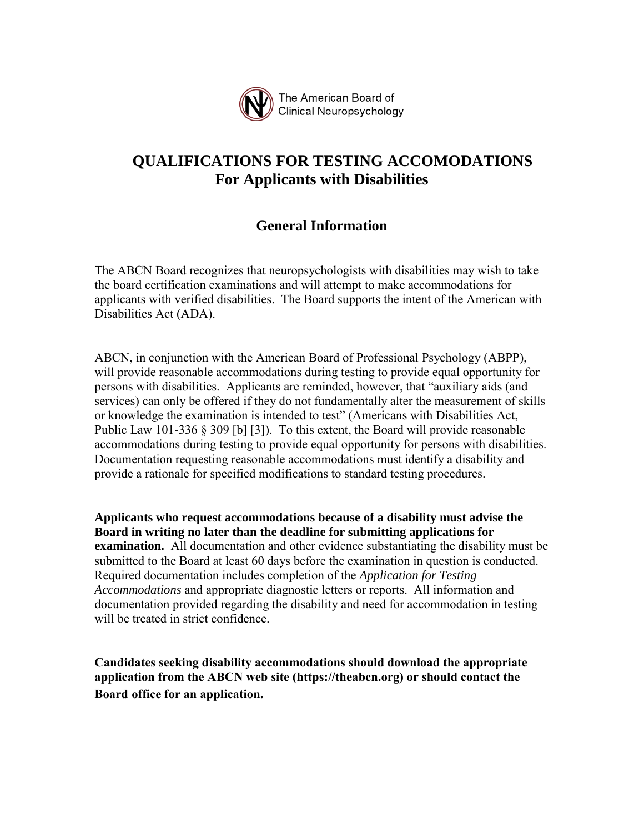

## **QUALIFICATIONS FOR TESTING ACCOMODATIONS For Applicants with Disabilities**

### **General Information**

The ABCN Board recognizes that neuropsychologists with disabilities may wish to take the board certification examinations and will attempt to make accommodations for applicants with verified disabilities. The Board supports the intent of the American with Disabilities Act (ADA).

ABCN, in conjunction with the American Board of Professional Psychology (ABPP), will provide reasonable accommodations during testing to provide equal opportunity for persons with disabilities. Applicants are reminded, however, that "auxiliary aids (and services) can only be offered if they do not fundamentally alter the measurement of skills or knowledge the examination is intended to test" (Americans with Disabilities Act, Public Law 101-336 § 309 [b] [3]). To this extent, the Board will provide reasonable accommodations during testing to provide equal opportunity for persons with disabilities. Documentation requesting reasonable accommodations must identify a disability and provide a rationale for specified modifications to standard testing procedures.

**Applicants who request accommodations because of a disability must advise the Board in writing no later than the deadline for submitting applications for examination.** All documentation and other evidence substantiating the disability must be submitted to the Board at least 60 days before the examination in question is conducted. Required documentation includes completion of the *Application for Testing Accommodations* and appropriate diagnostic letters or reports. All information and documentation provided regarding the disability and need for accommodation in testing will be treated in strict confidence.

 **application from the ABCN web site (https://theabcn.org) or should contact the Candidates seeking disability accommodations should download the appropriate Board office for an application.**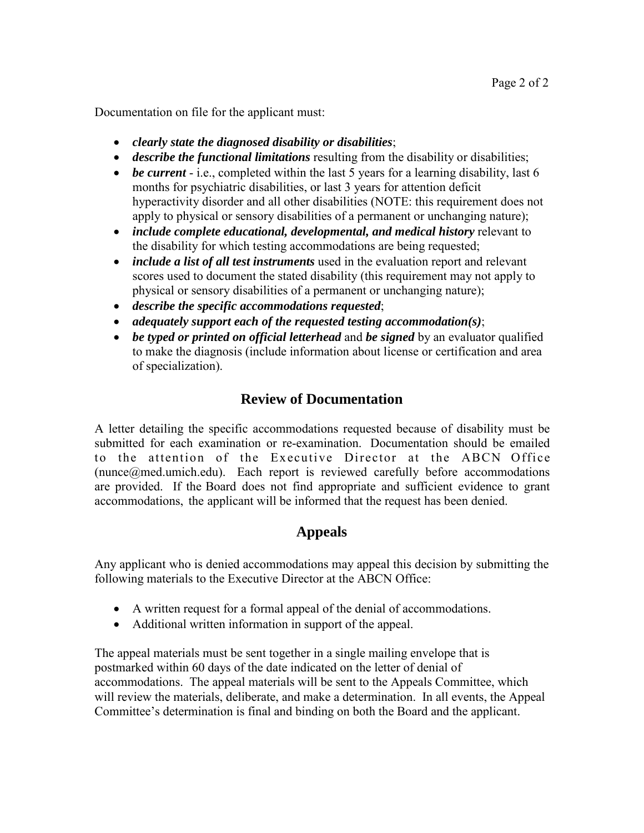Documentation on file for the applicant must:

- *clearly state the diagnosed disability or disabilities*;
- *describe the functional limitations* resulting from the disability or disabilities;
- *be current* i.e., completed within the last 5 years for a learning disability, last 6 months for psychiatric disabilities, or last 3 years for attention deficit hyperactivity disorder and all other disabilities (NOTE: this requirement does not apply to physical or sensory disabilities of a permanent or unchanging nature);
- *include complete educational, developmental, and medical history* relevant to the disability for which testing accommodations are being requested;
- *include a list of all test instruments* used in the evaluation report and relevant scores used to document the stated disability (this requirement may not apply to physical or sensory disabilities of a permanent or unchanging nature);
- *describe the specific accommodations requested*;
- *adequately support each of the requested testing accommodation(s)*;
- *be typed or printed on official letterhead* and *be signed* by an evaluator qualified to make the diagnosis (include information about license or certification and area of specialization).

### **Review of Documentation**

 A letter detailing the specific accommodations requested because of disability must be submitted for each examination or re-examination. Documentation should be emailed to the attention of the Executive Director at the ABCN Office (nunce@med.umich.edu). Each report is reviewed carefully before accommodations are provided. If the Board does not find appropriate and sufficient evidence to grant accommodations, the applicant will be informed that the request has been denied.

### **Appeals**

Any applicant who is denied accommodations may appeal this decision by submitting the following materials to the Executive Director at the ABCN Office:

- A written request for a formal appeal of the denial of accommodations.
- Additional written information in support of the appeal.

The appeal materials must be sent together in a single mailing envelope that is postmarked within 60 days of the date indicated on the letter of denial of accommodations. The appeal materials will be sent to the Appeals Committee, which will review the materials, deliberate, and make a determination. In all events, the Appeal Committee's determination is final and binding on both the Board and the applicant.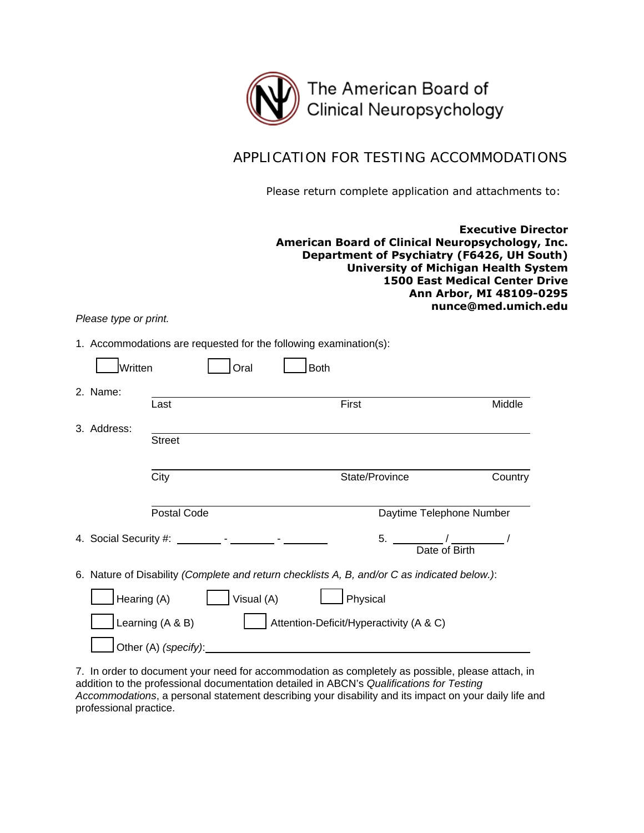

#### APPLICATION FOR TESTING ACCOMMODATIONS

Please return complete application and attachments to:

**Executive Director American Board of Clinical Neuropsychology, Inc. Department of Psychiatry (F6426, UH South) University of Michigan Health System 1500 East Medical Center Drive Ann Arbor, MI 48109-0295 nunce@med.umich.edu**

*Please type or print.*

1. Accommodations are requested for the following examination(s):

| Written     | Oral                 | <b>Both</b>                                                                                  |         |
|-------------|----------------------|----------------------------------------------------------------------------------------------|---------|
| 2. Name:    | Last                 | First                                                                                        | Middle  |
| 3. Address: | <b>Street</b>        |                                                                                              |         |
|             | City                 | State/Province                                                                               | Country |
|             | Postal Code          | Daytime Telephone Number                                                                     |         |
|             |                      | $5.$ $/$<br>Date of Birth                                                                    |         |
|             |                      | 6. Nature of Disability (Complete and return checklists A, B, and/or C as indicated below.): |         |
| Hearing (A) | Visual (A)           | Physical                                                                                     |         |
|             | Learning (A & B)     | Attention-Deficit/Hyperactivity (A & C)                                                      |         |
|             | Other (A) (specify): |                                                                                              |         |

7. In order to document your need for accommodation as completely as possible, please attach, in addition to the professional documentation detailed in ABCN's *Qualifications for Testing Accommodations*, a personal statement describing your disability and its impact on your daily life and professional practice.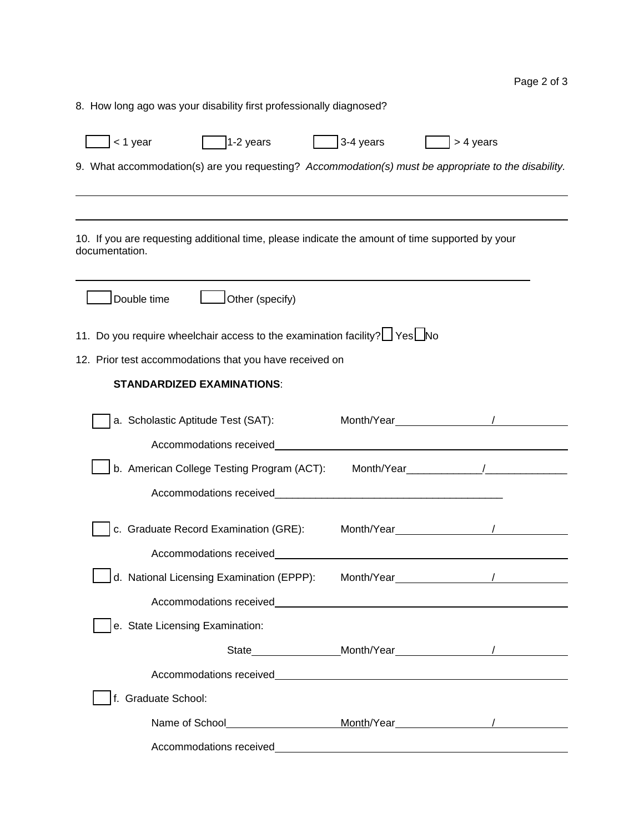Page 2 of 3

| 8. How long ago was your disability first professionally diagnosed?                                               |                                                                                                                                                                                                                               |  |
|-------------------------------------------------------------------------------------------------------------------|-------------------------------------------------------------------------------------------------------------------------------------------------------------------------------------------------------------------------------|--|
| $1-2$ years<br>< 1 year                                                                                           | $3-4$ years<br>> 4 years                                                                                                                                                                                                      |  |
| 9. What accommodation(s) are you requesting? Accommodation(s) must be appropriate to the disability.              |                                                                                                                                                                                                                               |  |
|                                                                                                                   |                                                                                                                                                                                                                               |  |
|                                                                                                                   |                                                                                                                                                                                                                               |  |
| 10. If you are requesting additional time, please indicate the amount of time supported by your<br>documentation. |                                                                                                                                                                                                                               |  |
| Double time<br>Other (specify)                                                                                    |                                                                                                                                                                                                                               |  |
| 11. Do you require wheelchair access to the examination facility? If Yes No                                       |                                                                                                                                                                                                                               |  |
| 12. Prior test accommodations that you have received on                                                           |                                                                                                                                                                                                                               |  |
| <b>STANDARDIZED EXAMINATIONS:</b>                                                                                 |                                                                                                                                                                                                                               |  |
| a. Scholastic Aptitude Test (SAT):                                                                                | Month/Year /                                                                                                                                                                                                                  |  |
| Accommodations received                                                                                           |                                                                                                                                                                                                                               |  |
| b. American College Testing Program (ACT):                                                                        | Month/Year /                                                                                                                                                                                                                  |  |
| Accommodations received                                                                                           | <u> 1980 - Jan James James Barnett, martin de la propincia de la propincia de la propincia de la propincia de la</u>                                                                                                          |  |
| c. Graduate Record Examination (GRE):                                                                             | Month/Year <sub>contr</sub>                                                                                                                                                                                                   |  |
| Accommodations received                                                                                           |                                                                                                                                                                                                                               |  |
| d. National Licensing Examination (EPPP):                                                                         | Month/Year Month by the set of the set of the set of the set of the set of the set of the set of the set of the set of the set of the set of the set of the set of the set of the set of the set of the set of the set of the |  |
|                                                                                                                   |                                                                                                                                                                                                                               |  |
| e. State Licensing Examination:                                                                                   |                                                                                                                                                                                                                               |  |
|                                                                                                                   |                                                                                                                                                                                                                               |  |
|                                                                                                                   |                                                                                                                                                                                                                               |  |
| f. Graduate School:                                                                                               |                                                                                                                                                                                                                               |  |
|                                                                                                                   |                                                                                                                                                                                                                               |  |
| Accommodations received                                                                                           |                                                                                                                                                                                                                               |  |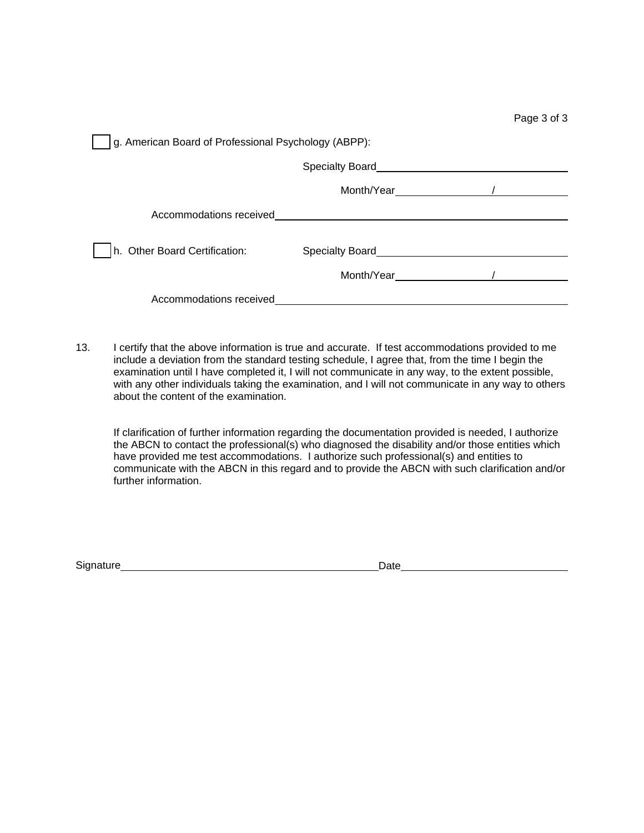| Page 3 of 3 |  |  |
|-------------|--|--|
|             |  |  |

| g. American Board of Professional Psychology (ABPP): |                 |  |
|------------------------------------------------------|-----------------|--|
|                                                      | Specialty Board |  |
|                                                      | Month/Year      |  |
| Accommodations received                              |                 |  |
| h. Other Board Certification:                        | Specialty Board |  |
|                                                      | Month/Year      |  |
| Accommodations received                              |                 |  |

13. I certify that the above information is true and accurate. If test accommodations provided to me include a deviation from the standard testing schedule, I agree that, from the time I begin the examination until I have completed it, I will not communicate in any way, to the extent possible, with any other individuals taking the examination, and I will not communicate in any way to others about the content of the examination.

 If clarification of further information regarding the documentation provided is needed, I authorize the ABCN to contact the professional(s) who diagnosed the disability and/or those entities which have provided me test accommodations. I authorize such professional(s) and entities to communicate with the ABCN in this regard and to provide the ABCN with such clarification and/or further information.

Signature Date Date Date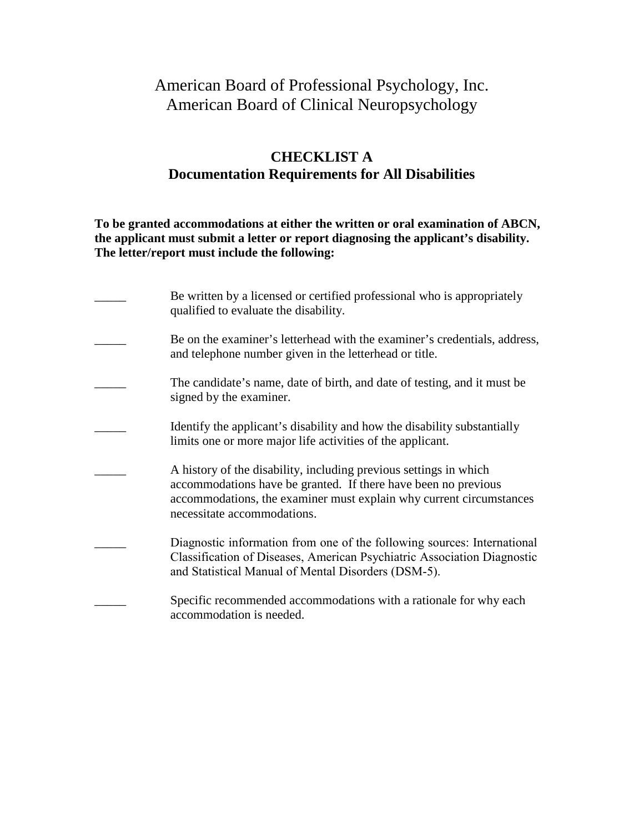# American Board of Professional Psychology, Inc. American Board of Clinical Neuropsychology

### **CHECKLIST A Documentation Requirements for All Disabilities**

**To be granted accommodations at either the written or oral examination of ABCN, the applicant must submit a letter or report diagnosing the applicant's disability. The letter/report must include the following:**

| Be written by a licensed or certified professional who is appropriately<br>qualified to evaluate the disability.                                                                                                                          |
|-------------------------------------------------------------------------------------------------------------------------------------------------------------------------------------------------------------------------------------------|
| Be on the examiner's letterhead with the examiner's credentials, address,<br>and telephone number given in the letterhead or title.                                                                                                       |
| The candidate's name, date of birth, and date of testing, and it must be<br>signed by the examiner.                                                                                                                                       |
| Identify the applicant's disability and how the disability substantially<br>limits one or more major life activities of the applicant.                                                                                                    |
| A history of the disability, including previous settings in which<br>accommodations have be granted. If there have been no previous<br>accommodations, the examiner must explain why current circumstances<br>necessitate accommodations. |
| Diagnostic information from one of the following sources: International<br>Classification of Diseases, American Psychiatric Association Diagnostic<br>and Statistical Manual of Mental Disorders (DSM-5).                                 |
| Specific recommended accommodations with a rationale for why each<br>accommodation is needed.                                                                                                                                             |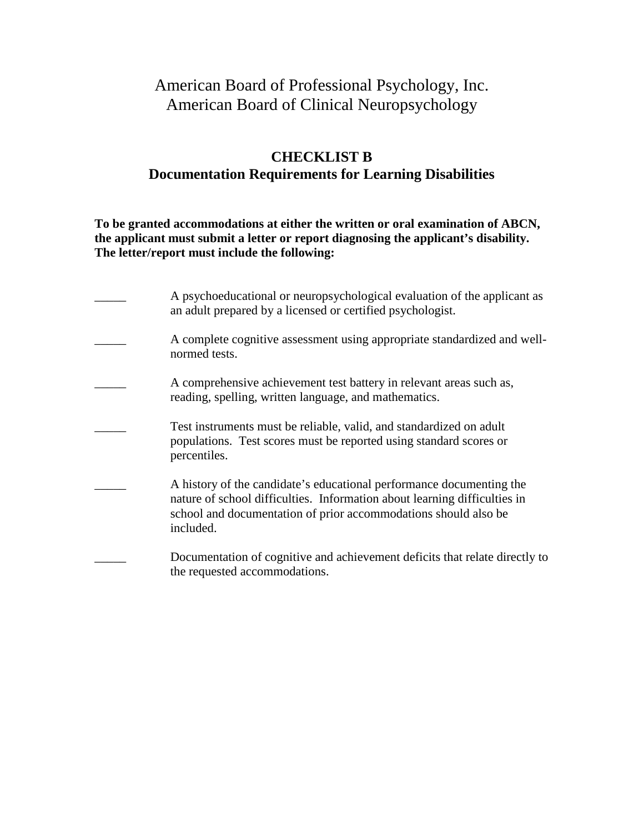# American Board of Professional Psychology, Inc. American Board of Clinical Neuropsychology

#### **CHECKLIST B Documentation Requirements for Learning Disabilities**

**To be granted accommodations at either the written or oral examination of ABCN, the applicant must submit a letter or report diagnosing the applicant's disability. The letter/report must include the following:**

| A psychoeducational or neuropsychological evaluation of the applicant as<br>an adult prepared by a licensed or certified psychologist.                                                                                            |
|-----------------------------------------------------------------------------------------------------------------------------------------------------------------------------------------------------------------------------------|
| A complete cognitive assessment using appropriate standardized and well-<br>normed tests.                                                                                                                                         |
| A comprehensive achievement test battery in relevant areas such as,<br>reading, spelling, written language, and mathematics.                                                                                                      |
| Test instruments must be reliable, valid, and standardized on adult<br>populations. Test scores must be reported using standard scores or<br>percentiles.                                                                         |
| A history of the candidate's educational performance documenting the<br>nature of school difficulties. Information about learning difficulties in<br>school and documentation of prior accommodations should also be<br>included. |
| Documentation of cognitive and achievement deficits that relate directly to<br>the requested accommodations.                                                                                                                      |